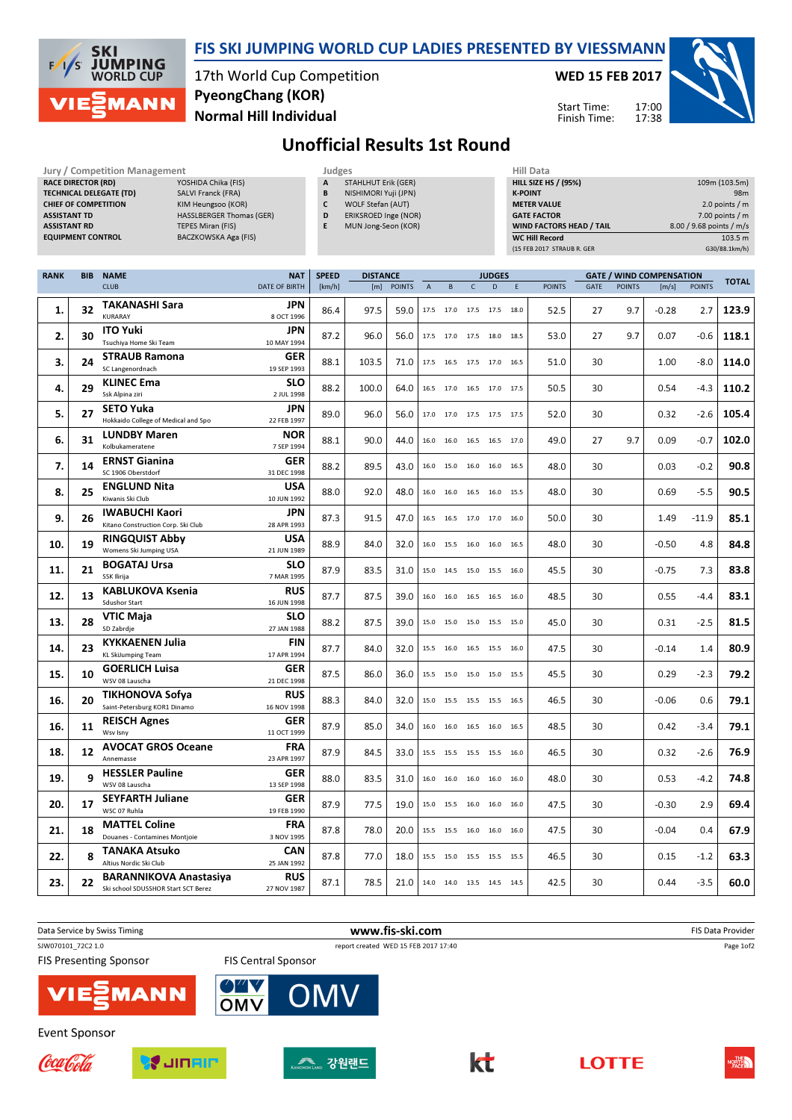

### FIS SKI JUMPING WORLD CUP LADIES PRESENTED BY VIESSMANN

17th World Cup Competition Normal Hill Individual PyeongChang (KOR)

Jury / Competition Management Judges Hill Data

WED 15 FEB 2017

Start Time: Finish Time: 17:00 17:38



# Unofficial Results 1st Round

| <b>ASSISTANT TD</b><br><b>ASSISTANT RD</b> | <b>RACE DIRECTOR (RD)</b><br><b>EQUIPMENT CONTROL</b> | YOSHIDA Chika (FIS)<br><b>TECHNICAL DELEGATE (TD)</b><br>SALVI Franck (FRA)<br><b>CHIEF OF COMPETITION</b><br>KIM Heungsoo (KOR)<br><b>HASSLBERGER Thomas (GER)</b><br><b>TEPES Miran (FIS)</b><br>BACZKOWSKA Aga (FIS) |                                    | А<br>B<br>C<br>D<br>E  | <b>STAHLHUT Erik (GER)</b><br>NISHIMORI Yuji (JPN)<br>WOLF Stefan (AUT)<br>ERIKSROED Inge (NOR)<br>MUN Jong-Seon (KOR) |               |                  |                |             |                                    | <b>K-POINT</b> | <b>HILL SIZE HS / (95%)</b><br><b>METER VALUE</b><br><b>GATE FACTOR</b><br>WIND FACTORS HEAD / TAIL<br><b>WC Hill Record</b><br>(15 FEB 2017 STRAUB R. GER |            |                      |                                 | 109m (103.5m)<br>98m<br>2.0 points $/m$<br>7.00 points / m<br>8.00 / 9.68 points / m/s<br>103.5 m<br>G30/88.1km/h) |              |  |
|--------------------------------------------|-------------------------------------------------------|-------------------------------------------------------------------------------------------------------------------------------------------------------------------------------------------------------------------------|------------------------------------|------------------------|------------------------------------------------------------------------------------------------------------------------|---------------|------------------|----------------|-------------|------------------------------------|----------------|------------------------------------------------------------------------------------------------------------------------------------------------------------|------------|----------------------|---------------------------------|--------------------------------------------------------------------------------------------------------------------|--------------|--|
| <b>RANK</b>                                | <b>BIB</b>                                            | <b>NAME</b><br><b>CLUB</b>                                                                                                                                                                                              | <b>NAT</b><br><b>DATE OF BIRTH</b> | <b>SPEED</b><br>[km/h] | <b>DISTANCE</b><br>[m]                                                                                                 | <b>POINTS</b> | $\boldsymbol{A}$ | B              | $\mathsf C$ | <b>JUDGES</b><br>D                 | E.             | <b>POINTS</b>                                                                                                                                              |            |                      | <b>GATE / WIND COMPENSATION</b> |                                                                                                                    | <b>TOTAL</b> |  |
| 1.                                         | 32                                                    | TAKANASHI Sara                                                                                                                                                                                                          | JPN                                | 86.4                   | 97.5                                                                                                                   | 59.0          | 17.5             | 17.0 17.5      |             | 17.5 18.0                          |                | 52.5                                                                                                                                                       | GATE<br>27 | <b>POINTS</b><br>9.7 | [m/s]<br>$-0.28$                | <b>POINTS</b><br>2.7                                                                                               | 123.9        |  |
| 2.                                         | 30                                                    | <b>KURARAY</b><br><b>ITO Yuki</b>                                                                                                                                                                                       | 8 OCT 1996<br>JPN                  | 87.2                   | 96.0                                                                                                                   | 56.0          |                  | 17.5 17.0 17.5 |             | 18.0 18.5                          |                | 53.0                                                                                                                                                       | 27         | 9.7                  | 0.07                            | $-0.6$                                                                                                             | 118.1        |  |
| 3.                                         | 24                                                    | Tsuchiya Home Ski Team<br><b>STRAUB Ramona</b>                                                                                                                                                                          | 10 MAY 1994<br>GER                 | 88.1                   | 103.5                                                                                                                  | 71.0          |                  |                |             | 17.5 16.5 17.5 17.0 16.5           |                | 51.0                                                                                                                                                       | 30         |                      | 1.00                            | $-8.0$                                                                                                             | 114.0        |  |
|                                            | 29                                                    | SC Langenordnach<br><b>KLINEC Ema</b>                                                                                                                                                                                   | 19 SEP 1993<br>SLO                 |                        |                                                                                                                        |               |                  |                |             |                                    |                |                                                                                                                                                            |            |                      |                                 |                                                                                                                    |              |  |
| 4.                                         |                                                       | Ssk Alpina ziri<br><b>SETO Yuka</b>                                                                                                                                                                                     | 2 JUL 1998<br><b>JPN</b>           | 88.2                   | 100.0                                                                                                                  | 64.0          |                  |                |             | 16.5 17.0 16.5 17.0 17.5           |                | 50.5                                                                                                                                                       | 30         |                      | 0.54                            | $-4.3$                                                                                                             | 110.2        |  |
| 5.                                         | 27                                                    | Hokkaido College of Medical and Spo<br><b>LUNDBY Maren</b>                                                                                                                                                              | 22 FEB 1997<br><b>NOR</b>          | 89.0                   | 96.0                                                                                                                   | 56.0          |                  | 17.0 17.0 17.5 |             | 17.5 17.5                          |                | 52.0                                                                                                                                                       | 30         |                      | 0.32                            | $-2.6$                                                                                                             | 105.4        |  |
| 6.                                         | 31                                                    | Kolbukameratene                                                                                                                                                                                                         | 7 SEP 1994                         | 88.1                   | 90.0                                                                                                                   | 44.0          | 16.0             |                |             | 16.0 16.5 16.5 17.0                |                | 49.0                                                                                                                                                       | 27         | 9.7                  | 0.09                            | $-0.7$                                                                                                             | 102.0        |  |
| 7.                                         | 14                                                    | <b>ERNST Gianina</b><br>SC 1906 Oberstdorf                                                                                                                                                                              | <b>GER</b><br>31 DEC 1998          | 88.2                   | 89.5                                                                                                                   | 43.0          | 16.0             | 15.0 16.0      |             | 16.0 16.5                          |                | 48.0                                                                                                                                                       | 30         |                      | 0.03                            | $-0.2$                                                                                                             | 90.8         |  |
| 8.                                         | 25                                                    | <b>ENGLUND Nita</b><br>Kiwanis Ski Club                                                                                                                                                                                 | <b>USA</b><br>10 JUN 1992          | 88.0                   | 92.0                                                                                                                   | 48.0          |                  |                |             | 16.0  16.0  16.5  16.0  15.5       |                | 48.0                                                                                                                                                       | 30         |                      | 0.69                            | $-5.5$                                                                                                             | 90.5         |  |
| 9.                                         | 26                                                    | <b>IWABUCHI Kaori</b><br>Kitano Construction Corp. Ski Club                                                                                                                                                             | JPN<br>28 APR 1993                 | 87.3                   | 91.5                                                                                                                   | 47.0          | 16.5             | 16.5 17.0      |             | 17.0 16.0                          |                | 50.0                                                                                                                                                       | 30         |                      | 1.49                            | $-11.9$                                                                                                            | 85.1         |  |
| 10.                                        | 19                                                    | <b>RINGQUIST Abby</b><br>Womens Ski Jumping USA                                                                                                                                                                         | <b>USA</b><br>21 JUN 1989          | 88.9                   | 84.0                                                                                                                   | 32.0          | 16.0             |                | 15.5 16.0   | 16.0 16.5                          |                | 48.0                                                                                                                                                       | 30         |                      | $-0.50$                         | 4.8                                                                                                                | 84.8         |  |
| 11.                                        | 21                                                    | <b>BOGATAJ Ursa</b><br>SSK Ilirija                                                                                                                                                                                      | SLO<br>7 MAR 1995                  | 87.9                   | 83.5                                                                                                                   | 31.0          |                  |                |             | 15.0  14.5  15.0  15.5  16.0       |                | 45.5                                                                                                                                                       | 30         |                      | $-0.75$                         | 7.3                                                                                                                | 83.8         |  |
| 12.                                        | 13                                                    | <b>KABLUKOVA Ksenia</b><br><b>Sdushor Start</b>                                                                                                                                                                         | <b>RUS</b><br>16 JUN 1998          | 87.7                   | 87.5                                                                                                                   | 39.0          |                  |                |             | 16.0 16.0 16.5 16.5 16.0           |                | 48.5                                                                                                                                                       | 30         |                      | 0.55                            | $-4.4$                                                                                                             | 83.1         |  |
| 13.                                        | 28                                                    | VTIC Maja<br>SD Zabrdje                                                                                                                                                                                                 | SLO<br>27 JAN 1988                 | 88.2                   | 87.5                                                                                                                   | 39.0          |                  | 15.0 15.0 15.0 |             | 15.5 15.0                          |                | 45.0                                                                                                                                                       | 30         |                      | 0.31                            | $-2.5$                                                                                                             | 81.5         |  |
| 14.                                        | 23                                                    | <b>KYKKAENEN Julia</b>                                                                                                                                                                                                  | <b>FIN</b>                         | 87.7                   | 84.0                                                                                                                   | 32.0          |                  |                |             | 15.5   16.0   16.5   15.5   16.0   |                | 47.5                                                                                                                                                       | 30         |                      | $-0.14$                         | 1.4                                                                                                                | 80.9         |  |
| 15.                                        | 10                                                    | <b>KL SkiJumping Team</b><br><b>GOERLICH Luisa</b>                                                                                                                                                                      | 17 APR 1994<br><b>GER</b>          | 87.5                   | 86.0                                                                                                                   | 36.0          |                  |                |             | 15.5 15.0 15.0 15.0 15.5           |                | 45.5                                                                                                                                                       | 30         |                      | 0.29                            | $-2.3$                                                                                                             | 79.2         |  |
| 16.                                        | 20                                                    | WSV 08 Lauscha<br>TIKHONOVA Sofya                                                                                                                                                                                       | 21 DEC 1998<br><b>RUS</b>          | 88.3                   | 84.0                                                                                                                   | 32.0          |                  |                |             | 15.0 15.5 15.5 15.5 16.5           |                | 46.5                                                                                                                                                       | 30         |                      | $-0.06$                         | 0.6                                                                                                                | 79.1         |  |
| 16.                                        | 11                                                    | Saint-Petersburg KOR1 Dinamo<br><b>REISCH Agnes</b>                                                                                                                                                                     | 16 NOV 1998<br><b>GER</b>          | 87.9                   | 85.0                                                                                                                   | 34.0          | 16.0             |                | 16.0 16.5   | 16.0 16.5                          |                | 48.5                                                                                                                                                       | 30         |                      | 0.42                            | $-3.4$                                                                                                             | 79.1         |  |
|                                            |                                                       | Wsv Isny<br><b>AVOCAT GROS Oceane</b>                                                                                                                                                                                   | 11 OCT 1999<br><b>FRA</b>          |                        |                                                                                                                        |               |                  |                |             |                                    |                |                                                                                                                                                            |            |                      |                                 |                                                                                                                    |              |  |
| 18.                                        | 12                                                    | Annemasse<br><b>HESSLER Pauline</b>                                                                                                                                                                                     | 23 APR 1997<br><b>GER</b>          | 87.9                   | 84.5                                                                                                                   | 33.0          |                  |                |             | 15.5 15.5 15.5 15.5 16.0           |                | 46.5                                                                                                                                                       | 30         |                      | 0.32                            | $-2.6$                                                                                                             | 76.9         |  |
| 19.                                        | 9                                                     | WSV 08 Lauscha<br><b>SEYFARTH Juliane</b>                                                                                                                                                                               | 13 SEP 1998<br><b>GER</b>          | 88.0                   | 83.5                                                                                                                   | 31.0          |                  |                |             | $16.0$ $16.0$ $16.0$ $16.0$ $16.0$ |                | 48.0                                                                                                                                                       | 30         |                      | 0.53                            | $-4.2$                                                                                                             | 74.8         |  |
| 20.                                        | 17                                                    | WSC 07 Ruhla                                                                                                                                                                                                            | 19 FEB 1990                        | 87.9                   | 77.5                                                                                                                   | 19.0          |                  |                |             | 15.0  15.5  16.0  16.0  16.0       |                | 47.5                                                                                                                                                       | 30         |                      | $-0.30$                         | 2.9                                                                                                                | 69.4         |  |
| 21.                                        | 18                                                    | <b>MATTEL Coline</b><br>Douanes - Contamines Montjoie                                                                                                                                                                   | <b>FRA</b><br>3 NOV 1995           | 87.8                   | 78.0                                                                                                                   | 20.0          |                  |                |             | 15.5 15.5 16.0 16.0 16.0           |                | 47.5                                                                                                                                                       | 30         |                      | $-0.04$                         | 0.4                                                                                                                | 67.9         |  |
| 22.                                        | 8                                                     | TANAKA Atsuko<br>Altius Nordic Ski Club                                                                                                                                                                                 | CAN<br>25 JAN 1992                 | 87.8                   | 77.0                                                                                                                   | 18.0          |                  |                |             | 15.5 15.0 15.5 15.5 15.5           |                | 46.5                                                                                                                                                       | 30         |                      | 0.15                            | $-1.2$                                                                                                             | 63.3         |  |
| 23.                                        | 22                                                    | <b>BARANNIKOVA Anastasiya</b><br>Ski school SDUSSHOR Start SCT Berez                                                                                                                                                    | <b>RUS</b><br>27 NOV 1987          | 87.1                   | 78.5                                                                                                                   | 21.0          |                  |                |             | 14.0 14.0 13.5 14.5 14.5           |                | 42.5                                                                                                                                                       | 30         |                      | 0.44                            | $-3.5$                                                                                                             | 60.0         |  |